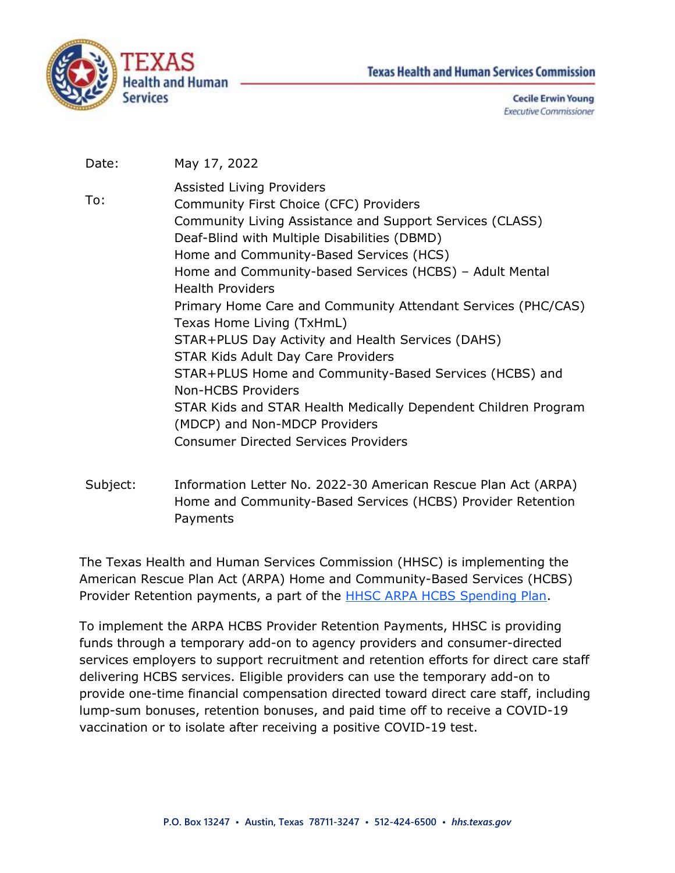



**Cecile Erwin Young Executive Commissioner** 

- Date: May 17, 2022
- To: Assisted Living Providers Community First Choice (CFC) Providers Community Living Assistance and Support Services (CLASS) Deaf-Blind with Multiple Disabilities (DBMD) Home and Community-Based Services (HCS) Home and Community-based Services (HCBS) – Adult Mental Health Providers Primary Home Care and Community Attendant Services (PHC/CAS) Texas Home Living (TxHmL) STAR+PLUS Day Activity and Health Services (DAHS) STAR Kids Adult Day Care Providers STAR+PLUS Home and Community-Based Services (HCBS) and Non-HCBS Providers STAR Kids and STAR Health Medically Dependent Children Program (MDCP) and Non-MDCP Providers Consumer Directed Services Providers
- Subject: Information Letter No. 2022-30 American Rescue Plan Act (ARPA) Home and Community-Based Services (HCBS) Provider Retention Payments

The Texas Health and Human Services Commission (HHSC) is implementing the American Rescue Plan Act (ARPA) Home and Community-Based Services (HCBS) Provider Retention payments, a part of the **HHSC ARPA HCBS** Spending Plan.

To implement the ARPA HCBS Provider Retention Payments, HHSC is providing funds through a temporary add-on to agency providers and consumer-directed services employers to support recruitment and retention efforts for direct care staff delivering HCBS services. Eligible providers can use the temporary add-on to provide one-time financial compensation directed toward direct care staff, including lump-sum bonuses, retention bonuses, and paid time off to receive a COVID-19 vaccination or to isolate after receiving a positive COVID-19 test.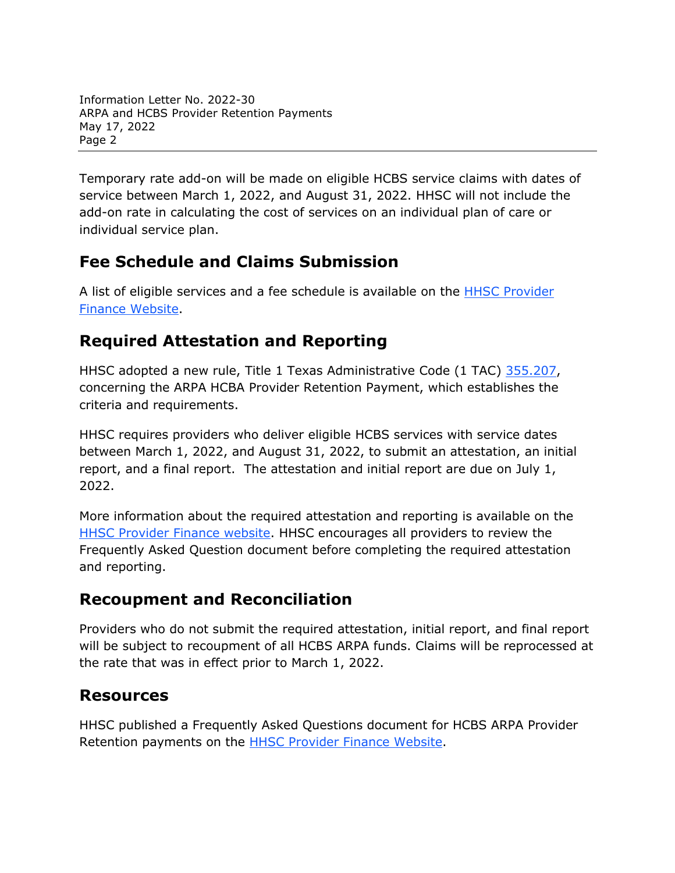Information Letter No. 2022-30 ARPA and HCBS Provider Retention Payments May 17, 2022 Page 2

Temporary rate add-on will be made on eligible HCBS service claims with dates of service between March 1, 2022, and August 31, 2022. HHSC will not include the add-on rate in calculating the cost of services on an individual plan of care or individual service plan.

## **Fee Schedule and Claims Submission**

A list of eligible services and a fee schedule is available on the [HHSC Provider](https://pfd.hhs.texas.gov/long-term-services-supports)  [Finance Website.](https://pfd.hhs.texas.gov/long-term-services-supports)

## **Required Attestation and Reporting**

HHSC adopted a new rule, Title 1 Texas Administrative Code (1 TAC) [355.207,](https://texreg.sos.state.tx.us/public/readtac$ext.TacPage?sl=R&app=9&p_dir=&p_rloc=&p_tloc=&p_ploc=&pg=1&p_tac=&ti=1&pt=15&ch=355&rl=207) concerning the ARPA HCBA Provider Retention Payment, which establishes the criteria and requirements.

HHSC requires providers who deliver eligible HCBS services with service dates between March 1, 2022, and August 31, 2022, to submit an attestation, an initial report, and a final report. The attestation and initial report are due on July 1, 2022.

More information about the required attestation and reporting is available on the [HHSC Provider Finance website.](https://pfd.hhs.texas.gov/long-term-services-supports) HHSC encourages all providers to review the Frequently Asked Question document before completing the required attestation and reporting.

## **Recoupment and Reconciliation**

Providers who do not submit the required attestation, initial report, and final report will be subject to recoupment of all HCBS ARPA funds. Claims will be reprocessed at the rate that was in effect prior to March 1, 2022.

## **Resources**

HHSC published a Frequently Asked Questions document for HCBS ARPA Provider Retention payments on the [HHSC Provider Finance Website.](https://pfd.hhs.texas.gov/long-term-services-supports)